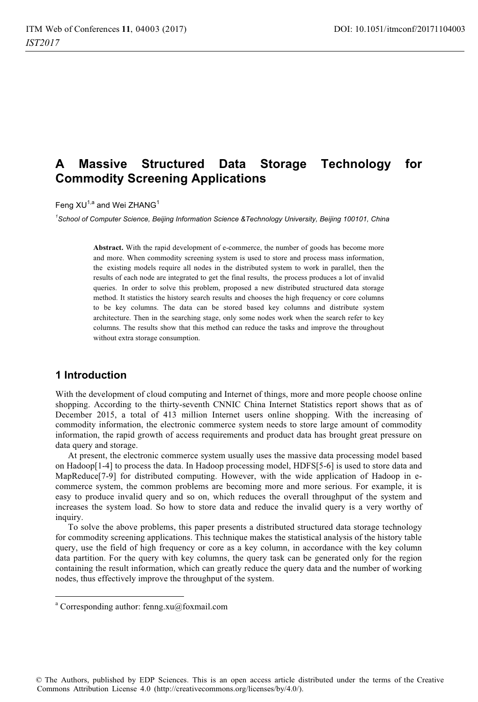# **A Massive Structured Data Storage Technology for Commodity Screening Applications**

Feng  $XU^{1,a}$  and Wei ZHANG<sup>1</sup>

*1 School of Computer Science, Beijing Information Science &Technology University, Beijing 100101, China* 

**Abstract.** With the rapid development of e-commerce, the number of goods has become more and more. When commodity screening system is used to store and process mass information, the existing models require all nodes in the distributed system to work in parallel, then the results of each node are integrated to get the final results, the process produces a lot of invalid queries. In order to solve this problem, proposed a new distributed structured data storage method. It statistics the history search results and chooses the high frequency or core columns to be key columns. The data can be stored based key columns and distribute system architecture. Then in the searching stage, only some nodes work when the search refer to key columns. The results show that this method can reduce the tasks and improve the throughout without extra storage consumption.

# **1 Introduction**

 $\overline{a}$ 

With the development of cloud computing and Internet of things, more and more people choose online shopping. According to the thirty-seventh CNNIC China Internet Statistics report shows that as of December 2015, a total of 413 million Internet users online shopping. With the increasing of commodity information, the electronic commerce system needs to store large amount of commodity information, the rapid growth of access requirements and product data has brought great pressure on data query and storage.

At present, the electronic commerce system usually uses the massive data processing model based on Hadoop[1-4] to process the data. In Hadoop processing model, HDFS[5-6] is used to store data and MapReduce[7-9] for distributed computing. However, with the wide application of Hadoop in ecommerce system, the common problems are becoming more and more serious. For example, it is easy to produce invalid query and so on, which reduces the overall throughput of the system and increases the system load. So how to store data and reduce the invalid query is a very worthy of inquiry.

To solve the above problems, this paper presents a distributed structured data storage technology for commodity screening applications. This technique makes the statistical analysis of the history table query, use the field of high frequency or core as a key column, in accordance with the key column data partition. For the query with key columns, the query task can be generated only for the region containing the result information, which can greatly reduce the query data and the number of working nodes, thus effectively improve the throughput of the system.

a Corresponding author: fenng.xu@foxmail.com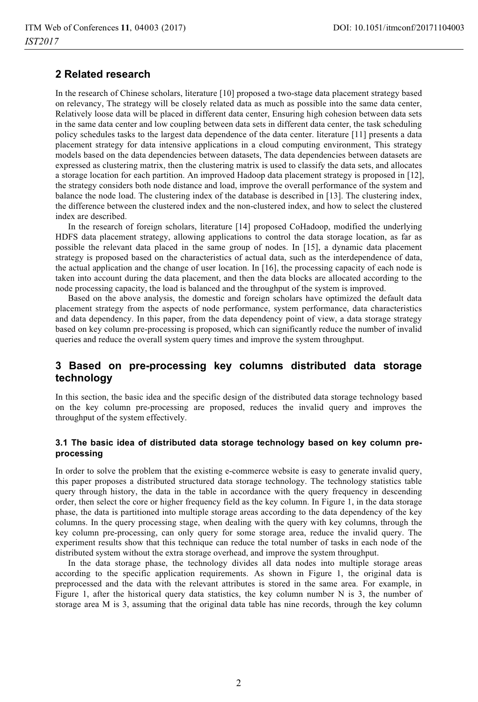# **2 Related research**

In the research of Chinese scholars, literature [10] proposed a two-stage data placement strategy based on relevancy, The strategy will be closely related data as much as possible into the same data center, Relatively loose data will be placed in different data center, Ensuring high cohesion between data sets in the same data center and low coupling between data sets in different data center, the task scheduling policy schedules tasks to the largest data dependence of the data center. literature [11] presents a data placement strategy for data intensive applications in a cloud computing environment, This strategy models based on the data dependencies between datasets, The data dependencies between datasets are expressed as clustering matrix, then the clustering matrix is used to classify the data sets, and allocates a storage location for each partition. An improved Hadoop data placement strategy is proposed in [12], the strategy considers both node distance and load, improve the overall performance of the system and balance the node load. The clustering index of the database is described in [13]. The clustering index, the difference between the clustered index and the non-clustered index, and how to select the clustered index are described.

In the research of foreign scholars, literature [14] proposed CoHadoop, modified the underlying HDFS data placement strategy, allowing applications to control the data storage location, as far as possible the relevant data placed in the same group of nodes. In [15], a dynamic data placement strategy is proposed based on the characteristics of actual data, such as the interdependence of data, the actual application and the change of user location. In [16], the processing capacity of each node is taken into account during the data placement, and then the data blocks are allocated according to the node processing capacity, the load is balanced and the throughput of the system is improved.

Based on the above analysis, the domestic and foreign scholars have optimized the default data placement strategy from the aspects of node performance, system performance, data characteristics and data dependency. In this paper, from the data dependency point of view, a data storage strategy based on key column pre-processing is proposed, which can significantly reduce the number of invalid queries and reduce the overall system query times and improve the system throughput.

# **3 Based on pre-processing key columns distributed data storage technology**

In this section, the basic idea and the specific design of the distributed data storage technology based on the key column pre-processing are proposed, reduces the invalid query and improves the throughput of the system effectively.

#### **3.1 The basic idea of distributed data storage technology based on key column preprocessing**

In order to solve the problem that the existing e-commerce website is easy to generate invalid query, this paper proposes a distributed structured data storage technology. The technology statistics table query through history, the data in the table in accordance with the query frequency in descending order, then select the core or higher frequency field as the key column. In Figure 1, in the data storage phase, the data is partitioned into multiple storage areas according to the data dependency of the key columns. In the query processing stage, when dealing with the query with key columns, through the key column pre-processing, can only query for some storage area, reduce the invalid query. The experiment results show that this technique can reduce the total number of tasks in each node of the distributed system without the extra storage overhead, and improve the system throughput.

In the data storage phase, the technology divides all data nodes into multiple storage areas according to the specific application requirements. As shown in Figure 1, the original data is preprocessed and the data with the relevant attributes is stored in the same area. For example, in Figure 1, after the historical query data statistics, the key column number  $N$  is 3, the number of storage area M is 3, assuming that the original data table has nine records, through the key column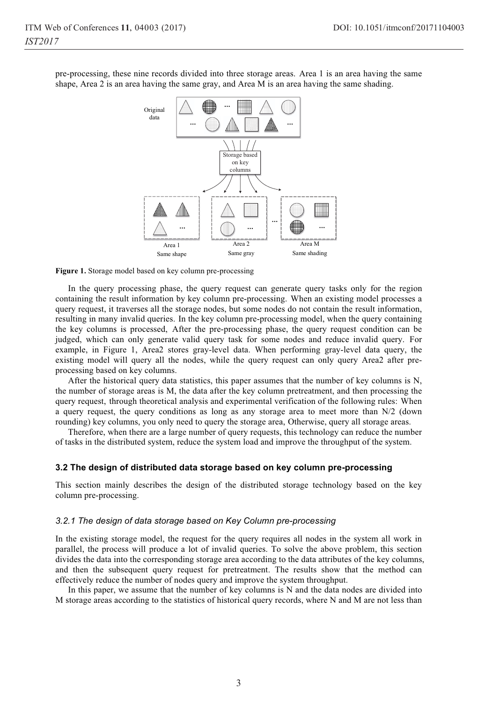pre-processing, these nine records divided into three storage areas. Area 1 is an area having the same shape, Area 2 is an area having the same gray, and Area M is an area having the same shading.



**Figure 1.** Storage model based on key column pre-processing

In the query processing phase, the query request can generate query tasks only for the region containing the result information by key column pre-processing. When an existing model processes a query request, it traverses all the storage nodes, but some nodes do not contain the result information, resulting in many invalid queries. In the key column pre-processing model, when the query containing the key columns is processed, After the pre-processing phase, the query request condition can be judged, which can only generate valid query task for some nodes and reduce invalid query. For example, in Figure 1, Area2 stores gray-level data. When performing gray-level data query, the existing model will query all the nodes, while the query request can only query Area2 after preprocessing based on key columns.

After the historical query data statistics, this paper assumes that the number of key columns is N, the number of storage areas is M, the data after the key column pretreatment, and then processing the query request, through theoretical analysis and experimental verification of the following rules: When a query request, the query conditions as long as any storage area to meet more than N/2 (down rounding) key columns, you only need to query the storage area, Otherwise, query all storage areas.

Therefore, when there are a large number of query requests, this technology can reduce the number of tasks in the distributed system, reduce the system load and improve the throughput of the system.

#### **3.2 The design of distributed data storage based on key column pre-processing**

This section mainly describes the design of the distributed storage technology based on the key column pre-processing.

#### *3.2.1 The design of data storage based on Key Column pre-processing*

In the existing storage model, the request for the query requires all nodes in the system all work in parallel, the process will produce a lot of invalid queries. To solve the above problem, this section divides the data into the corresponding storage area according to the data attributes of the key columns, and then the subsequent query request for pretreatment. The results show that the method can effectively reduce the number of nodes query and improve the system throughput.

In this paper, we assume that the number of key columns is N and the data nodes are divided into M storage areas according to the statistics of historical query records, where N and M are not less than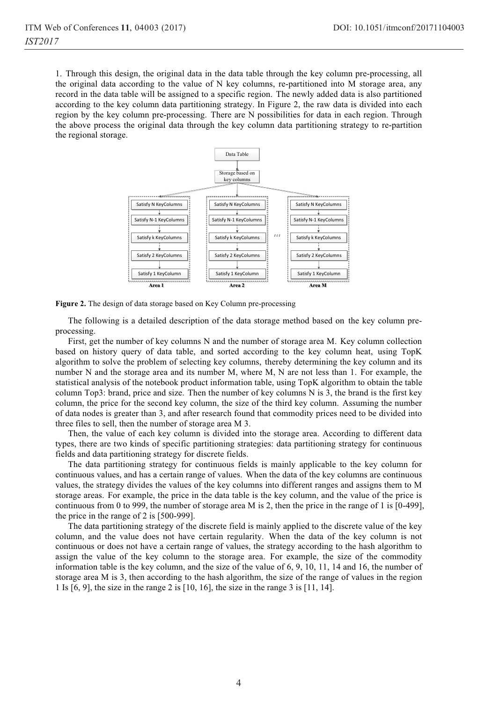1. Through this design, the original data in the data table through the key column pre-processing, all the original data according to the value of N key columns, re-partitioned into M storage area, any record in the data table will be assigned to a specific region. The newly added data is also partitioned according to the key column data partitioning strategy. In Figure 2, the raw data is divided into each region by the key column pre-processing. There are N possibilities for data in each region. Through the above process the original data through the key column data partitioning strategy to re-partition the regional storage.



**Figure 2.** The design of data storage based on Key Column pre-processing

The following is a detailed description of the data storage method based on the key column preprocessing.

First, get the number of key columns N and the number of storage area M. Key column collection based on history query of data table, and sorted according to the key column heat, using TopK algorithm to solve the problem of selecting key columns, thereby determining the key column and its number N and the storage area and its number M, where M, N are not less than 1. For example, the statistical analysis of the notebook product information table, using TopK algorithm to obtain the table column Top3: brand, price and size. Then the number of key columns N is 3, the brand is the first key column, the price for the second key column, the size of the third key column. Assuming the number of data nodes is greater than 3, and after research found that commodity prices need to be divided into three files to sell, then the number of storage area M 3.

Then, the value of each key column is divided into the storage area. According to different data types, there are two kinds of specific partitioning strategies: data partitioning strategy for continuous fields and data partitioning strategy for discrete fields.

The data partitioning strategy for continuous fields is mainly applicable to the key column for continuous values, and has a certain range of values. When the data of the key columns are continuous values, the strategy divides the values of the key columns into different ranges and assigns them to M storage areas. For example, the price in the data table is the key column, and the value of the price is continuous from 0 to 999, the number of storage area M is 2, then the price in the range of 1 is [0-499], the price in the range of 2 is [500-999].

The data partitioning strategy of the discrete field is mainly applied to the discrete value of the key column, and the value does not have certain regularity. When the data of the key column is not continuous or does not have a certain range of values, the strategy according to the hash algorithm to assign the value of the key column to the storage area. For example, the size of the commodity information table is the key column, and the size of the value of 6, 9, 10, 11, 14 and 16, the number of storage area M is 3, then according to the hash algorithm, the size of the range of values in the region 1 Is [6, 9], the size in the range 2 is [10, 16], the size in the range 3 is [11, 14].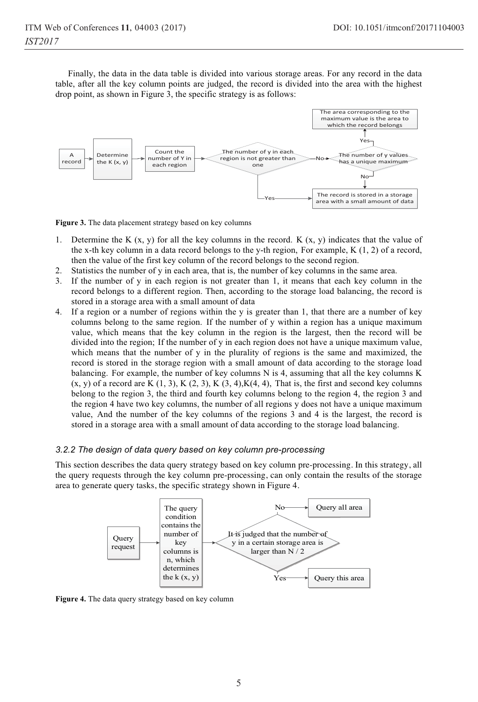Finally, the data in the data table is divided into various storage areas. For any record in the data table, after all the key column points are judged, the record is divided into the area with the highest drop point, as shown in Figure 3, the specific strategy is as follows:



**Figure 3.** The data placement strategy based on key columns

- 1. Determine the K  $(x, y)$  for all the key columns in the record. K  $(x, y)$  indicates that the value of the x-th key column in a data record belongs to the y-th region, For example, K (1, 2) of a record, then the value of the first key column of the record belongs to the second region.
- 2. Statistics the number of y in each area, that is, the number of key columns in the same area.
- 3. If the number of y in each region is not greater than 1, it means that each key column in the record belongs to a different region. Then, according to the storage load balancing, the record is stored in a storage area with a small amount of data
- 4. If a region or a number of regions within the y is greater than 1, that there are a number of key columns belong to the same region. If the number of y within a region has a unique maximum value, which means that the key column in the region is the largest, then the record will be divided into the region; If the number of y in each region does not have a unique maximum value, which means that the number of y in the plurality of regions is the same and maximized, the record is stored in the storage region with a small amount of data according to the storage load balancing. For example, the number of key columns N is 4, assuming that all the key columns K  $(x, y)$  of a record are K  $(1, 3)$ , K  $(2, 3)$ , K  $(3, 4)$ , K $(4, 4)$ , That is, the first and second key columns belong to the region 3, the third and fourth key columns belong to the region 4, the region 3 and the region 4 have two key columns, the number of all regions y does not have a unique maximum value, And the number of the key columns of the regions 3 and 4 is the largest, the record is stored in a storage area with a small amount of data according to the storage load balancing.

#### *3.2.2 The design of data query based on key column pre-processing*

This section describes the data query strategy based on key column pre-processing. In this strategy, all the query requests through the key column pre-processing, can only contain the results of the storage area to generate query tasks, the specific strategy shown in Figure 4.



**Figure 4.** The data query strategy based on key column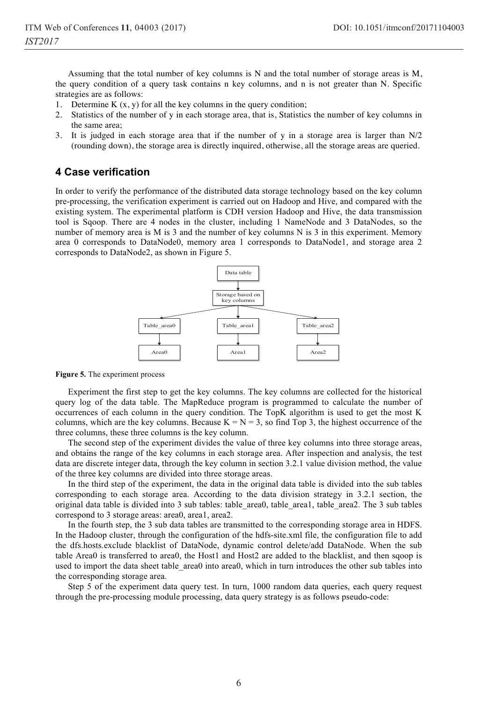Assuming that the total number of key columns is N and the total number of storage areas is M, the query condition of a query task contains n key columns, and n is not greater than N. Specific strategies are as follows:

- 1. Determine K  $(x, y)$  for all the key columns in the query condition;
- 2. Statistics of the number of y in each storage area, that is, Statistics the number of key columns in the same area;
- 3. It is judged in each storage area that if the number of y in a storage area is larger than N/2 (rounding down), the storage area is directly inquired, otherwise, all the storage areas are queried.

### **4 Case verification**

In order to verify the performance of the distributed data storage technology based on the key column pre-processing, the verification experiment is carried out on Hadoop and Hive, and compared with the existing system. The experimental platform is CDH version Hadoop and Hive, the data transmission tool is Sqoop. There are 4 nodes in the cluster, including 1 NameNode and 3 DataNodes, so the number of memory area is M is 3 and the number of key columns N is 3 in this experiment. Memory area 0 corresponds to DataNode0, memory area 1 corresponds to DataNode1, and storage area 2 corresponds to DataNode2, as shown in Figure 5.



**Figure 5.** The experiment process

Experiment the first step to get the key columns. The key columns are collected for the historical query log of the data table. The MapReduce program is programmed to calculate the number of occurrences of each column in the query condition. The TopK algorithm is used to get the most K columns, which are the key columns. Because  $K = N = 3$ , so find Top 3, the highest occurrence of the three columns, these three columns is the key column.

The second step of the experiment divides the value of three key columns into three storage areas, and obtains the range of the key columns in each storage area. After inspection and analysis, the test data are discrete integer data, through the key column in section 3.2.1 value division method, the value of the three key columns are divided into three storage areas.

In the third step of the experiment, the data in the original data table is divided into the sub tables corresponding to each storage area. According to the data division strategy in 3.2.1 section, the original data table is divided into 3 sub tables: table\_area0, table\_area1, table\_area2. The 3 sub tables correspond to 3 storage areas: area0, area1, area2.

In the fourth step, the 3 sub data tables are transmitted to the corresponding storage area in HDFS. In the Hadoop cluster, through the configuration of the hdfs-site.xml file, the configuration file to add the dfs.hosts.exclude blacklist of DataNode, dynamic control delete/add DataNode. When the sub table Area0 is transferred to area0, the Host1 and Host2 are added to the blacklist, and then sqoop is used to import the data sheet table area0 into area0, which in turn introduces the other sub tables into the corresponding storage area.

Step 5 of the experiment data query test. In turn, 1000 random data queries, each query request through the pre-processing module processing, data query strategy is as follows pseudo-code: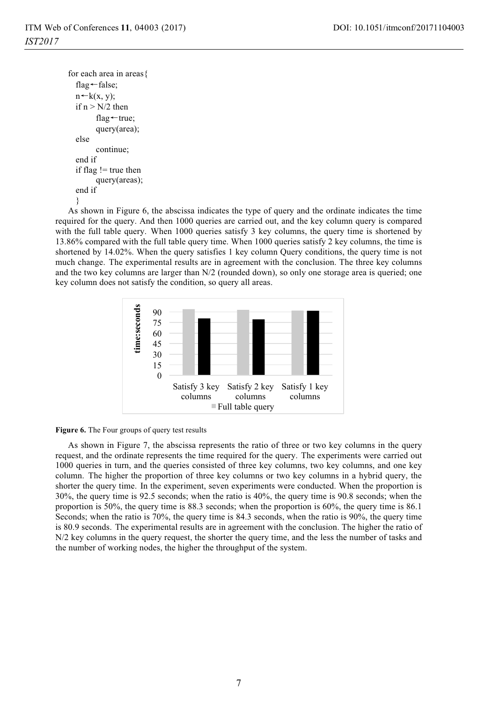```
for each area in areas{ 
flag←false;
n \leftarrow k(x, y);if n > N/2 then
       flag ← true;
       query(area); 
else 
       continue; 
end if 
if flag != true then 
       query(areas); 
end if 
}
```
As shown in Figure 6, the abscissa indicates the type of query and the ordinate indicates the time required for the query. And then 1000 queries are carried out, and the key column query is compared with the full table query. When 1000 queries satisfy 3 key columns, the query time is shortened by 13.86% compared with the full table query time. When 1000 queries satisfy 2 key columns, the time is shortened by 14.02%. When the query satisfies 1 key column Query conditions, the query time is not much change. The experimental results are in agreement with the conclusion. The three key columns and the two key columns are larger than N/2 (rounded down), so only one storage area is queried; one key column does not satisfy the condition, so query all areas.





As shown in Figure 7, the abscissa represents the ratio of three or two key columns in the query request, and the ordinate represents the time required for the query. The experiments were carried out 1000 queries in turn, and the queries consisted of three key columns, two key columns, and one key column. The higher the proportion of three key columns or two key columns in a hybrid query, the shorter the query time. In the experiment, seven experiments were conducted. When the proportion is 30%, the query time is 92.5 seconds; when the ratio is 40%, the query time is 90.8 seconds; when the proportion is 50%, the query time is 88.3 seconds; when the proportion is 60%, the query time is 86.1 Seconds; when the ratio is 70%, the query time is 84.3 seconds, when the ratio is 90%, the query time is 80.9 seconds. The experimental results are in agreement with the conclusion. The higher the ratio of N/2 key columns in the query request, the shorter the query time, and the less the number of tasks and the number of working nodes, the higher the throughput of the system.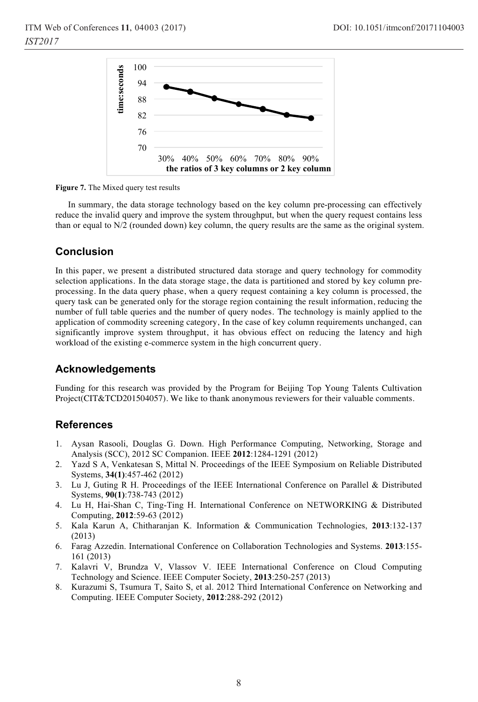

**Figure 7.** The Mixed query test results

In summary, the data storage technology based on the key column pre-processing can effectively reduce the invalid query and improve the system throughput, but when the query request contains less than or equal to N/2 (rounded down) key column, the query results are the same as the original system.

# **Conclusion**

In this paper, we present a distributed structured data storage and query technology for commodity selection applications. In the data storage stage, the data is partitioned and stored by key column preprocessing. In the data query phase, when a query request containing a key column is processed, the query task can be generated only for the storage region containing the result information, reducing the number of full table queries and the number of query nodes. The technology is mainly applied to the application of commodity screening category, In the case of key column requirements unchanged, can significantly improve system throughput, it has obvious effect on reducing the latency and high workload of the existing e-commerce system in the high concurrent query.

# **Acknowledgements**

Funding for this research was provided by the Program for Beijing Top Young Talents Cultivation Project(CIT&TCD201504057). We like to thank anonymous reviewers for their valuable comments.

# **References**

- 1. Aysan Rasooli, Douglas G. Down. High Performance Computing, Networking, Storage and Analysis (SCC), 2012 SC Companion. IEEE **2012**:1284-1291 (2012)
- 2. Yazd S A, Venkatesan S, Mittal N. Proceedings of the IEEE Symposium on Reliable Distributed Systems, **34(1)**:457-462 (2012)
- 3. Lu J, Guting R H. Proceedings of the IEEE International Conference on Parallel & Distributed Systems, **90(1)**:738-743 (2012)
- 4. Lu H, Hai-Shan C, Ting-Ting H. International Conference on NETWORKING & Distributed Computing, **2012**:59-63 (2012)
- 5. Kala Karun A, Chitharanjan K. Information & Communication Technologies, **2013**:132-137 (2013)
- 6. Farag Azzedin. International Conference on Collaboration Technologies and Systems. **2013**:155- 161 (2013)
- 7. Kalavri V, Brundza V, Vlassov V. IEEE International Conference on Cloud Computing Technology and Science. IEEE Computer Society, **2013**:250-257 (2013)
- 8. Kurazumi S, Tsumura T, Saito S, et al. 2012 Third International Conference on Networking and Computing. IEEE Computer Society, **2012**:288-292 (2012)